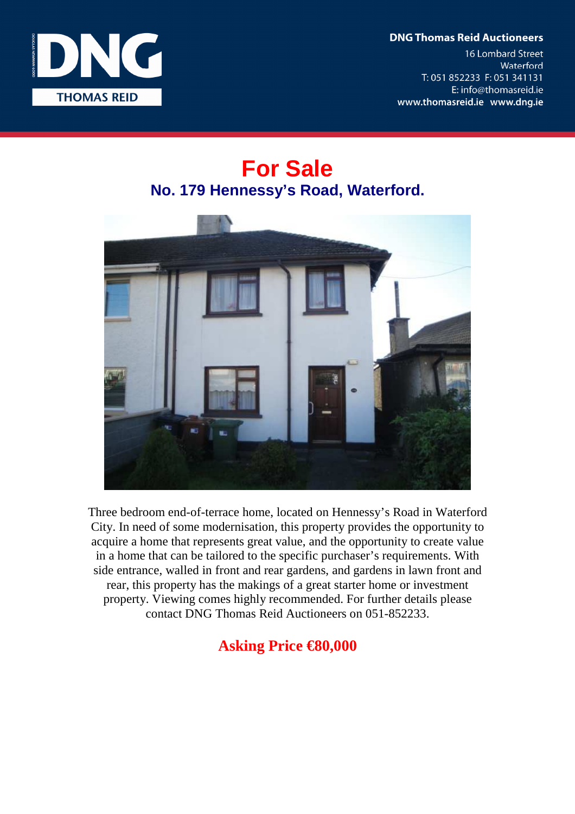**DNG Thomas Reid Auctioneers** 

**16 Lombard Street** Waterford T: 051 852233 F: 051 341131 E: info@thomasreid.ie www.thomasreid.ie www.dng.ie



## **For Sale No. 179 Hennessy's Road, Waterford.**



Three bedroom end-of-terrace home, located on Hennessy's Road in Waterford City. In need of some modernisation, this property provides the opportunity to acquire a home that represents great value, and the opportunity to create value in a home that can be tailored to the specific purchaser's requirements. With side entrance, walled in front and rear gardens, and gardens in lawn front and rear, this property has the makings of a great starter home or investment property. Viewing comes highly recommended. For further details please contact DNG Thomas Reid Auctioneers on 051-852233.

## **Asking Price €80,000**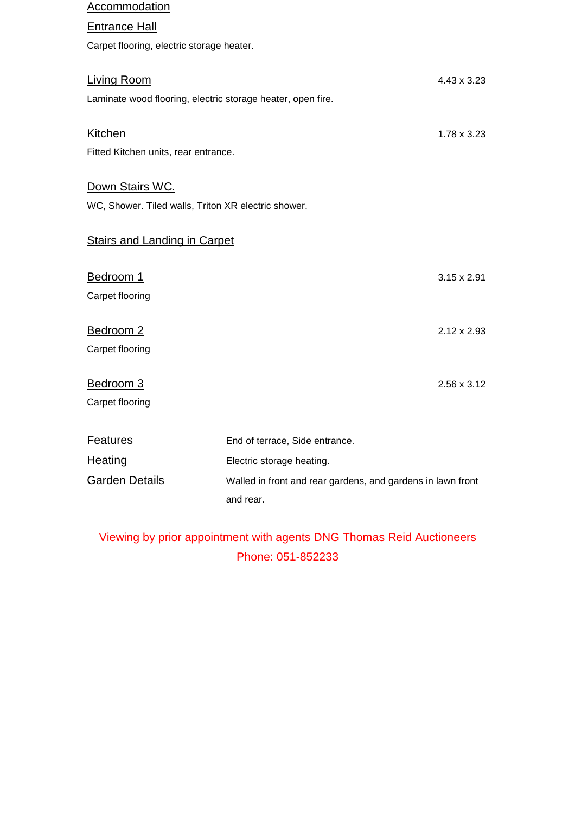| Accommodation                                       |                                                             |                    |
|-----------------------------------------------------|-------------------------------------------------------------|--------------------|
| <b>Entrance Hall</b>                                |                                                             |                    |
| Carpet flooring, electric storage heater.           |                                                             |                    |
|                                                     |                                                             |                    |
| <b>Living Room</b>                                  |                                                             | 4.43 x 3.23        |
|                                                     | Laminate wood flooring, electric storage heater, open fire. |                    |
| <b>Kitchen</b>                                      |                                                             | $1.78 \times 3.23$ |
| Fitted Kitchen units, rear entrance.                |                                                             |                    |
|                                                     |                                                             |                    |
| Down Stairs WC.                                     |                                                             |                    |
| WC, Shower. Tiled walls, Triton XR electric shower. |                                                             |                    |
| <b>Stairs and Landing in Carpet</b>                 |                                                             |                    |
| Bedroom 1                                           |                                                             | $3.15 \times 2.91$ |
| Carpet flooring                                     |                                                             |                    |
| Bedroom 2                                           |                                                             | $2.12 \times 2.93$ |
| Carpet flooring                                     |                                                             |                    |
| Bedroom 3                                           |                                                             | 2.56 x 3.12        |
| Carpet flooring                                     |                                                             |                    |
|                                                     |                                                             |                    |
| <b>Features</b>                                     | End of terrace, Side entrance.                              |                    |
| Heating                                             | Electric storage heating.                                   |                    |
| <b>Garden Details</b>                               | Walled in front and rear gardens, and gardens in lawn front |                    |
|                                                     | and rear.                                                   |                    |

## Viewing by prior appointment with agents DNG Thomas Reid Auctioneers Phone: 051-852233